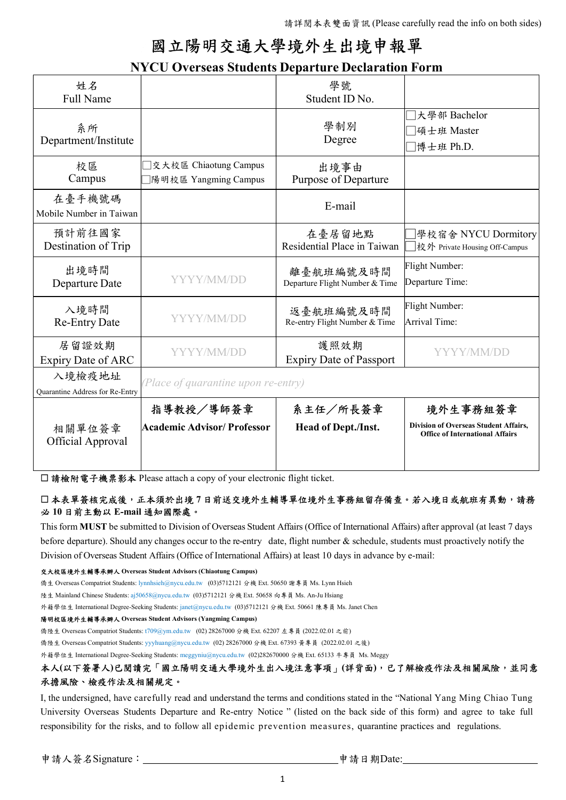# 國立陽明交通大學境外生出境申報單

## NYCU Overseas Students Departure Declaration Form

| 姓名<br><b>Full Name</b>                    |                                               | 學號<br>Student ID No.                        |                                                                                        |
|-------------------------------------------|-----------------------------------------------|---------------------------------------------|----------------------------------------------------------------------------------------|
| 系所<br>Department/Institute                |                                               | 學制別<br>Degree                               | 大學部 Bachelor<br> 碩士班 Master<br>博士班 Ph.D.                                               |
| 校區<br>Campus                              | 交大校區 Chiaotung Campus<br>陽明校區 Yangming Campus | 出境事由<br><b>Purpose of Departure</b>         |                                                                                        |
| 在臺手機號碼<br>Mobile Number in Taiwan         |                                               | E-mail                                      |                                                                                        |
| 預計前往國家<br>Destination of Trip             |                                               | 在臺居留地點<br>Residential Place in Taiwan       | 學校宿舍 NYCU Dormitory<br> 校外 Private Housing Off-Campus                                  |
| 出境時間<br>Departure Date                    | YYYY/MM/DD                                    | 離臺航班編號及時間<br>Departure Flight Number & Time | Flight Number:<br>Departure Time:                                                      |
| 入境時間<br><b>Re-Entry Date</b>              | YYYY/MM/DD                                    | 返臺航班編號及時間<br>Re-entry Flight Number & Time  | Flight Number:<br>Arrival Time:                                                        |
| 居留證效期<br>Expiry Date of ARC               | YYYY/MM/DD                                    | 護照效期<br><b>Expiry Date of Passport</b>      | YYYY/MM/DD                                                                             |
| 入境檢疫地址<br>Quarantine Address for Re-Entry | (Place of quarantine upon re-entry)           |                                             |                                                                                        |
|                                           | 指導教授/導師簽章                                     | 系主任/所長簽章                                    | 境外生事務組簽章                                                                               |
| 相關單位簽章<br><b>Official Approval</b>        | <b>Academic Advisor/Professor</b>             | <b>Head of Dept./Inst.</b>                  | <b>Division of Overseas Student Affairs,</b><br><b>Office of International Affairs</b> |

□ 請檢附電子機票影本 Please attach a copy of your electronic flight ticket.

### □ 本表單簽核完成後,正本須於出境 7 日前送交境外生輔導單位境外生事務組留存備查。若入境日或航班有異動,請務 必 10 日前主動以 E-mail 通知國際處。

This form MUST be submitted to Division of Overseas Student Affairs (Office of International Affairs) after approval (at least 7 days before departure). Should any changes occur to the re-entry date, flight number & schedule, students must proactively notify the Division of Overseas Student Affairs (Office of International Affairs) at least 10 days in advance by e-mail:

#### 交大校區境外生輔導承辦人 Overseas Student Advisors (Chiaotung Campus)

僑生 Overseas Compatriot Students: lynnhsieh@nycu.edu.tw (03)5712121 分機 Ext. 50650 謝專員 Ms. Lynn Hsieh

陸生 Mainland Chinese Students: aj50658@nycu.edu.tw (03)5712121 分機 Ext. 50658 向專員 Ms. An-Ju Hsiang

外籍學位生 International Degree-Seeking Students: janet@nycu.edu.tw (03)5712121 分機 Ext. 50661 陳專員 Ms. Janet Chen

#### 陽明校區境外生輔導承辦人 Overseas Student Advisors (Yangming Campus)

僑陸生 Overseas Compatriot Students: t709@ym.edu.tw (02) 28267000 分機 Ext. 62207 左專員 (2022.02.01 之前)

僑陸生 Overseas Compatriot Students: yyyhuang@nycu.edu.tw (02) 28267000 分機 Ext. 67393 黃專員 (2022.02.01 之後)

外籍學位生 International Degree-Seeking Students: meggyniu@nycu.edu.tw (02)282670000 分機 Ext. 65133 牛專員 Ms. Meggy

## 本人(以下簽署人)已閱讀完「國立陽明交通大學境外生出入境注意事項」(詳背面),已了解檢疫作法及相關風險,並同意 承擔風險、檢疫作法及相關規定。

I, the undersigned, have carefully read and understand the terms and conditions stated in the "National Yang Ming Chiao Tung University Overseas Students Departure and Re-entry Notice " (listed on the back side of this form) and agree to take full responsibility for the risks, and to follow all epidemic prevention measures, quarantine practices and regulations.